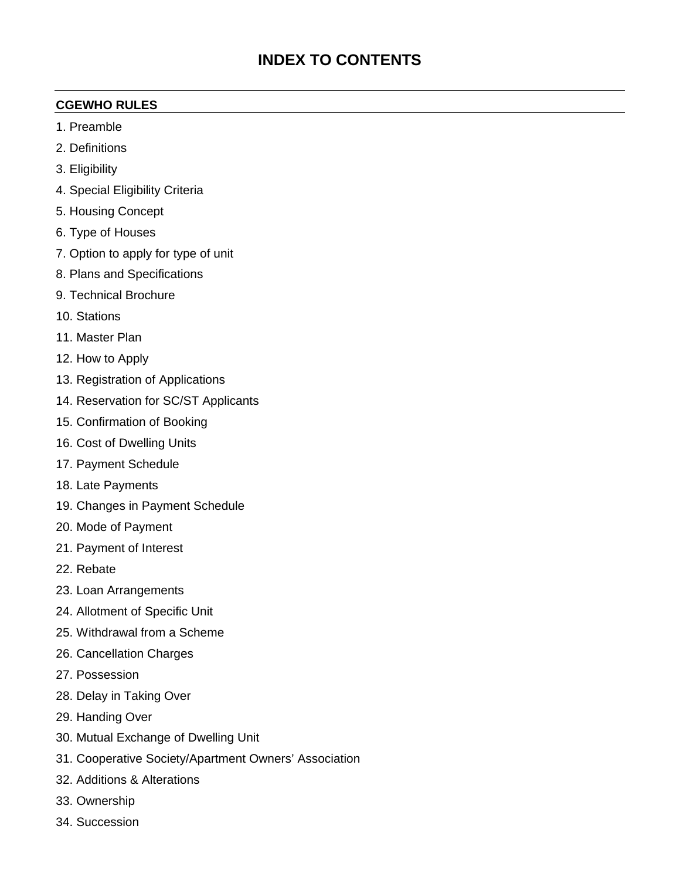# **INDEX TO CONTENTS**

#### **CGEWHO RULES**

- 1. Preamble
- 2. Definitions
- 3. Eligibility
- 4. Special Eligibility Criteria
- 5. Housing Concept
- 6. Type of Houses
- 7. Option to apply for type of unit
- 8. Plans and Specifications
- 9. Technical Brochure
- 10. Stations
- 11. Master Plan
- 12. How to Apply
- 13. Registration of Applications
- 14. Reservation for SC/ST Applicants
- 15. Confirmation of Booking
- 16. Cost of Dwelling Units
- 17. Payment Schedule
- 18. Late Payments
- 19. Changes in Payment Schedule
- 20. Mode of Payment
- 21. Payment of Interest
- 22. Rebate
- 23. Loan Arrangements
- 24. Allotment of Specific Unit
- 25. Withdrawal from a Scheme
- 26. Cancellation Charges
- 27. Possession
- 28. Delay in Taking Over
- 29. Handing Over
- 30. Mutual Exchange of Dwelling Unit
- 31. Cooperative Society/Apartment Owners' Association
- 32. Additions & Alterations
- 33. Ownership
- 34. Succession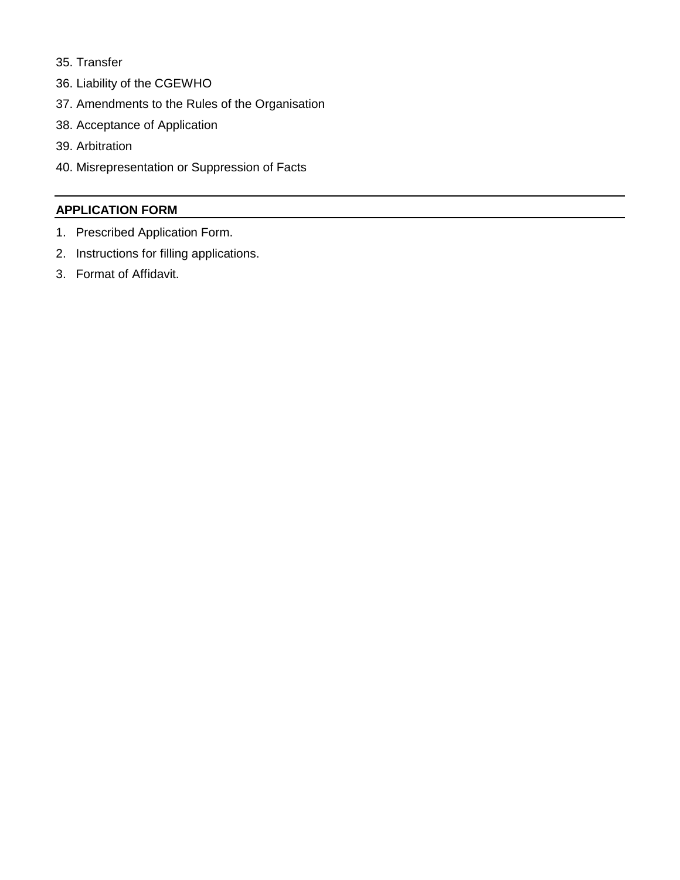- 35. Transfer
- 36. Liability of the CGEWHO
- 37. Amendments to the Rules of the Organisation
- 38. Acceptance of Application
- 39. Arbitration
- 40. Misrepresentation or Suppression of Facts

#### **APPLICATION FORM**

- 1. Prescribed Application Form.
- 2. Instructions for filling applications.
- 3. Format of Affidavit.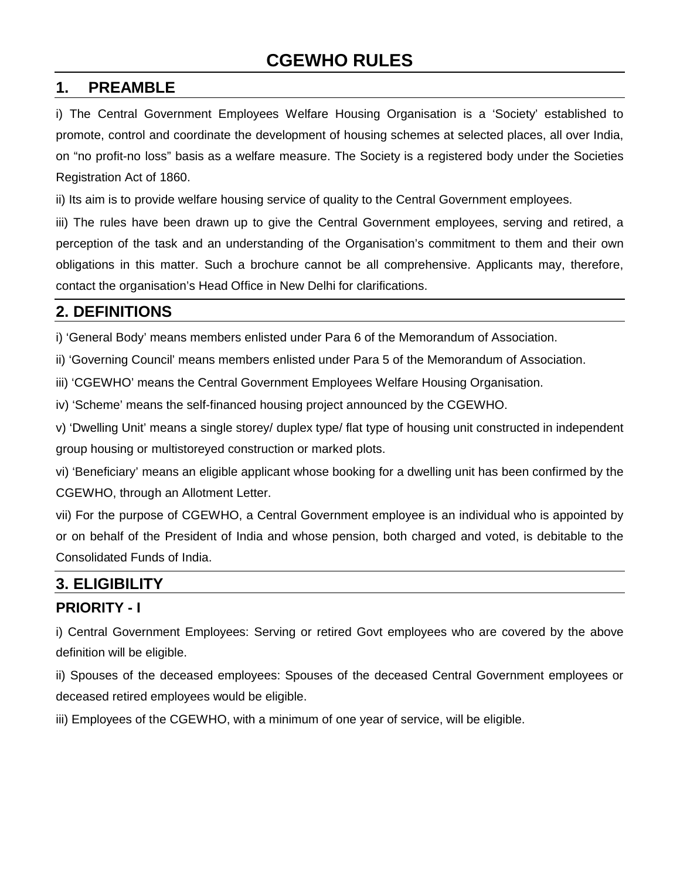#### **1. PREAMBLE**

i) The Central Government Employees Welfare Housing Organisation is a 'Society' established to promote, control and coordinate the development of housing schemes at selected places, all over India, on "no profit-no loss" basis as a welfare measure. The Society is a registered body under the Societies Registration Act of 1860.

ii) Its aim is to provide welfare housing service of quality to the Central Government employees.

iii) The rules have been drawn up to give the Central Government employees, serving and retired, a perception of the task and an understanding of the Organisation's commitment to them and their own obligations in this matter. Such a brochure cannot be all comprehensive. Applicants may, therefore, contact the organisation's Head Office in New Delhi for clarifications.

#### **2. DEFINITIONS**

i) 'General Body' means members enlisted under Para 6 of the Memorandum of Association.

ii) 'Governing Council' means members enlisted under Para 5 of the Memorandum of Association.

iii) 'CGEWHO' means the Central Government Employees Welfare Housing Organisation.

iv) 'Scheme' means the self-financed housing project announced by the CGEWHO.

v) 'Dwelling Unit' means a single storey/ duplex type/ flat type of housing unit constructed in independent group housing or multistoreyed construction or marked plots.

vi) 'Beneficiary' means an eligible applicant whose booking for a dwelling unit has been confirmed by the CGEWHO, through an Allotment Letter.

vii) For the purpose of CGEWHO, a Central Government employee is an individual who is appointed by or on behalf of the President of India and whose pension, both charged and voted, is debitable to the Consolidated Funds of India.

#### **3. ELIGIBILITY**

#### **PRIORITY - I**

i) Central Government Employees: Serving or retired Govt employees who are covered by the above definition will be eligible.

ii) Spouses of the deceased employees: Spouses of the deceased Central Government employees or deceased retired employees would be eligible.

iii) Employees of the CGEWHO, with a minimum of one year of service, will be eligible.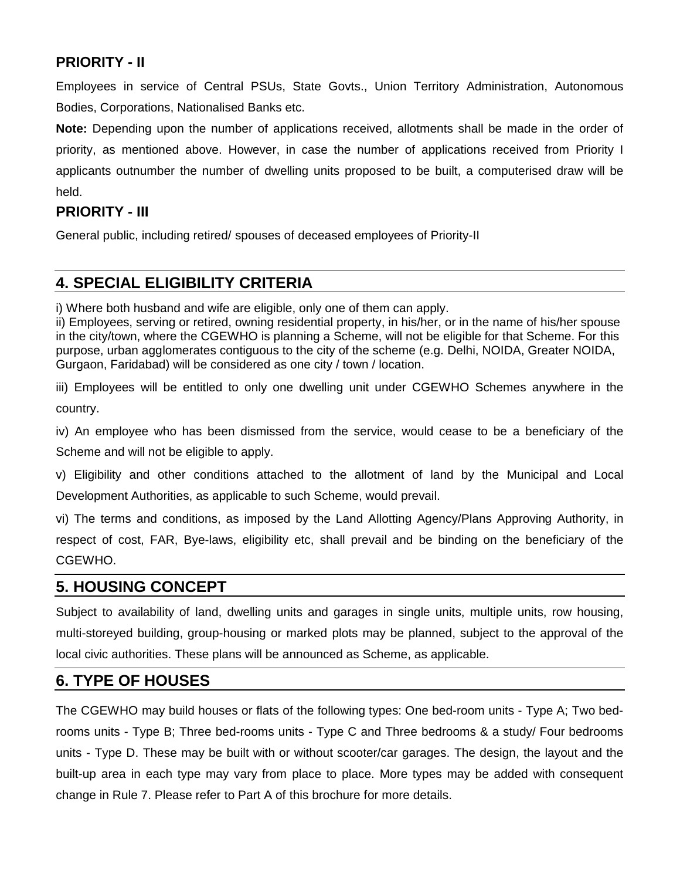#### **PRIORITY - II**

Employees in service of Central PSUs, State Govts., Union Territory Administration, Autonomous Bodies, Corporations, Nationalised Banks etc.

**Note:** Depending upon the number of applications received, allotments shall be made in the order of priority, as mentioned above. However, in case the number of applications received from Priority I applicants outnumber the number of dwelling units proposed to be built, a computerised draw will be held.

#### **PRIORITY - III**

General public, including retired/ spouses of deceased employees of Priority-II

# **4. SPECIAL ELIGIBILITY CRITERIA**

i) Where both husband and wife are eligible, only one of them can apply.

ii) Employees, serving or retired, owning residential property, in his/her, or in the name of his/her spouse in the city/town, where the CGEWHO is planning a Scheme, will not be eligible for that Scheme. For this purpose, urban agglomerates contiguous to the city of the scheme (e.g. Delhi, NOIDA, Greater NOIDA, Gurgaon, Faridabad) will be considered as one city / town / location.

iii) Employees will be entitled to only one dwelling unit under CGEWHO Schemes anywhere in the country.

iv) An employee who has been dismissed from the service, would cease to be a beneficiary of the Scheme and will not be eligible to apply.

v) Eligibility and other conditions attached to the allotment of land by the Municipal and Local Development Authorities, as applicable to such Scheme, would prevail.

vi) The terms and conditions, as imposed by the Land Allotting Agency/Plans Approving Authority, in respect of cost, FAR, Bye-laws, eligibility etc, shall prevail and be binding on the beneficiary of the CGEWHO.

#### **5. HOUSING CONCEPT**

Subject to availability of land, dwelling units and garages in single units, multiple units, row housing, multi-storeyed building, group-housing or marked plots may be planned, subject to the approval of the local civic authorities. These plans will be announced as Scheme, as applicable.

#### **6. TYPE OF HOUSES**

The CGEWHO may build houses or flats of the following types: One bed-room units - Type A; Two bedrooms units - Type B; Three bed-rooms units - Type C and Three bedrooms & a study/ Four bedrooms units - Type D. These may be built with or without scooter/car garages. The design, the layout and the built-up area in each type may vary from place to place. More types may be added with consequent change in Rule 7. Please refer to Part A of this brochure for more details.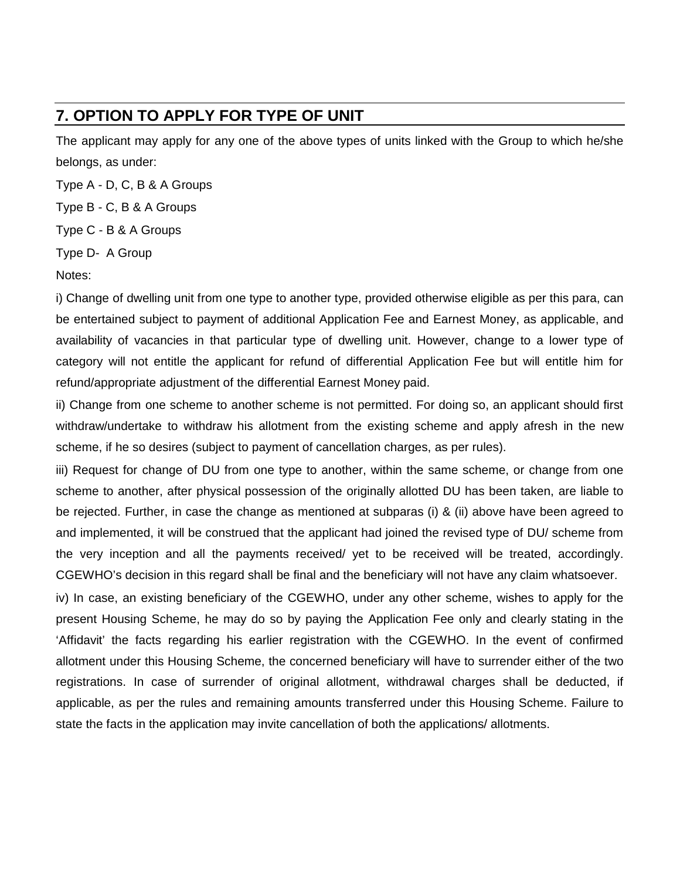# **7. OPTION TO APPLY FOR TYPE OF UNIT**

The applicant may apply for any one of the above types of units linked with the Group to which he/she belongs, as under:

Type A - D, C, B & A Groups

Type B - C, B & A Groups

Type C - B & A Groups

Type D- A Group

Notes:

i) Change of dwelling unit from one type to another type, provided otherwise eligible as per this para, can be entertained subject to payment of additional Application Fee and Earnest Money, as applicable, and availability of vacancies in that particular type of dwelling unit. However, change to a lower type of category will not entitle the applicant for refund of differential Application Fee but will entitle him for refund/appropriate adjustment of the differential Earnest Money paid.

ii) Change from one scheme to another scheme is not permitted. For doing so, an applicant should first withdraw/undertake to withdraw his allotment from the existing scheme and apply afresh in the new scheme, if he so desires (subject to payment of cancellation charges, as per rules).

iii) Request for change of DU from one type to another, within the same scheme, or change from one scheme to another, after physical possession of the originally allotted DU has been taken, are liable to be rejected. Further, in case the change as mentioned at subparas (i) & (ii) above have been agreed to and implemented, it will be construed that the applicant had joined the revised type of DU/ scheme from the very inception and all the payments received/ yet to be received will be treated, accordingly. CGEWHO's decision in this regard shall be final and the beneficiary will not have any claim whatsoever.

iv) In case, an existing beneficiary of the CGEWHO, under any other scheme, wishes to apply for the present Housing Scheme, he may do so by paying the Application Fee only and clearly stating in the 'Affidavit' the facts regarding his earlier registration with the CGEWHO. In the event of confirmed allotment under this Housing Scheme, the concerned beneficiary will have to surrender either of the two registrations. In case of surrender of original allotment, withdrawal charges shall be deducted, if applicable, as per the rules and remaining amounts transferred under this Housing Scheme. Failure to state the facts in the application may invite cancellation of both the applications/ allotments.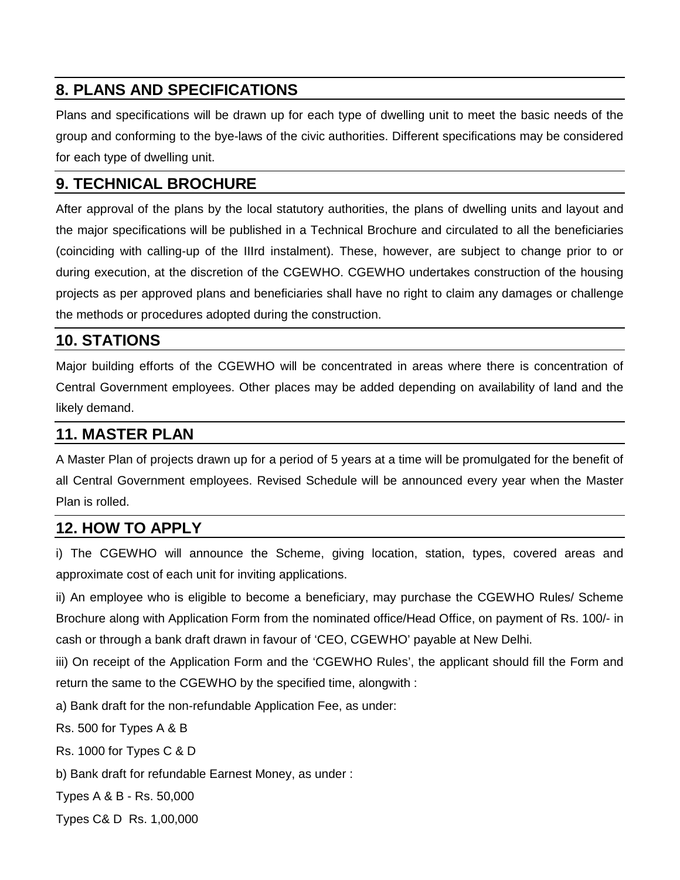# **8. PLANS AND SPECIFICATIONS**

Plans and specifications will be drawn up for each type of dwelling unit to meet the basic needs of the group and conforming to the bye-laws of the civic authorities. Different specifications may be considered for each type of dwelling unit.

# **9. TECHNICAL BROCHURE**

After approval of the plans by the local statutory authorities, the plans of dwelling units and layout and the major specifications will be published in a Technical Brochure and circulated to all the beneficiaries (coinciding with calling-up of the IIIrd instalment). These, however, are subject to change prior to or during execution, at the discretion of the CGEWHO. CGEWHO undertakes construction of the housing projects as per approved plans and beneficiaries shall have no right to claim any damages or challenge the methods or procedures adopted during the construction.

#### **10. STATIONS**

Major building efforts of the CGEWHO will be concentrated in areas where there is concentration of Central Government employees. Other places may be added depending on availability of land and the likely demand.

#### **11. MASTER PLAN**

A Master Plan of projects drawn up for a period of 5 years at a time will be promulgated for the benefit of all Central Government employees. Revised Schedule will be announced every year when the Master Plan is rolled.

#### **12. HOW TO APPLY**

i) The CGEWHO will announce the Scheme, giving location, station, types, covered areas and approximate cost of each unit for inviting applications.

ii) An employee who is eligible to become a beneficiary, may purchase the CGEWHO Rules/ Scheme Brochure along with Application Form from the nominated office/Head Office, on payment of Rs. 100/- in cash or through a bank draft drawn in favour of 'CEO, CGEWHO' payable at New Delhi.

iii) On receipt of the Application Form and the 'CGEWHO Rules', the applicant should fill the Form and return the same to the CGEWHO by the specified time, alongwith :

a) Bank draft for the non-refundable Application Fee, as under:

Rs. 500 for Types A & B

Rs. 1000 for Types C & D

b) Bank draft for refundable Earnest Money, as under :

Types A & B - Rs. 50,000

Types C& D Rs. 1,00,000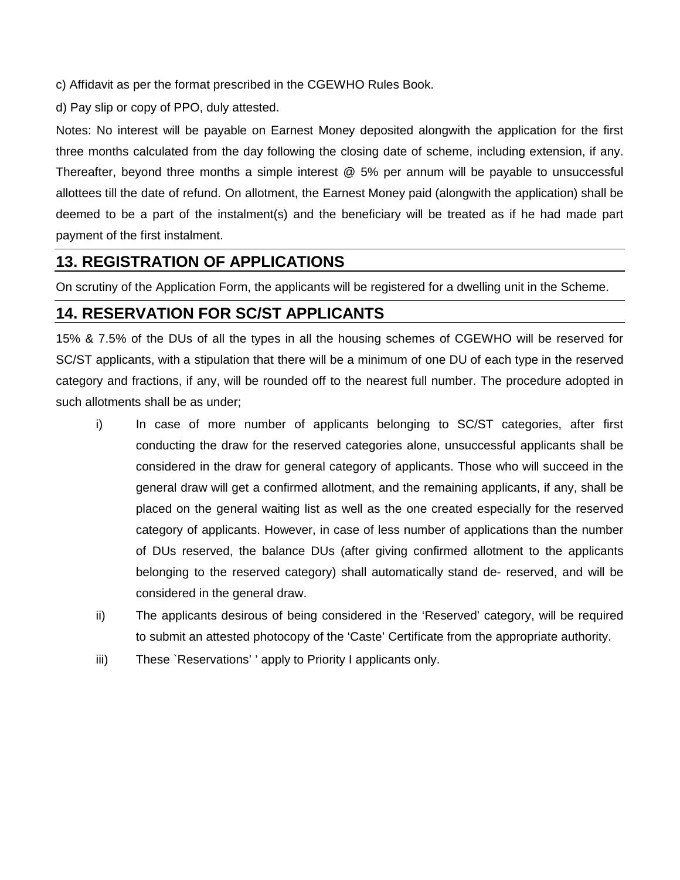c) Affidavit as per the format prescribed in the CGEWHO Rules Book.

d) Pay slip or copy of PPO, duly attested.

Notes: No interest will be payable on Earnest Money deposited alongwith the application for the first three months calculated from the day following the closing date of scheme, including extension, if any. Thereafter, beyond three months a simple interest @ 5% per annum will be payable to unsuccessful allottees till the date of refund. On allotment, the Earnest Money paid (alongwith the application) shall be deemed to be a part of the instalment(s) and the beneficiary will be treated as if he had made part payment of the first instalment.

#### **13. REGISTRATION OF APPLICATIONS**

On scrutiny of the Application Form, the applicants will be registered for a dwelling unit in the Scheme.

#### **14. RESERVATION FOR SC/ST APPLICANTS**

15% & 7.5% of the DUs of all the types in all the housing schemes of CGEWHO will be reserved for SC/ST applicants, with a stipulation that there will be a minimum of one DU of each type in the reserved category and fractions, if any, will be rounded off to the nearest full number. The procedure adopted in such allotments shall be as under;

- i) In case of more number of applicants belonging to SC/ST categories, after first conducting the draw for the reserved categories alone, unsuccessful applicants shall be considered in the draw for general category of applicants. Those who will succeed in the general draw will get a confirmed allotment, and the remaining applicants, if any, shall be placed on the general waiting list as well as the one created especially for the reserved category of applicants. However, in case of less number of applications than the number of DUs reserved, the balance DUs (after giving confirmed allotment to the applicants belonging to the reserved category) shall automatically stand de- reserved, and will be considered in the general draw.
- ii) The applicants desirous of being considered in the 'Reserved' category, will be required to submit an attested photocopy of the 'Caste' Certificate from the appropriate authority.
- iii) These `Reservations' ' apply to Priority I applicants only.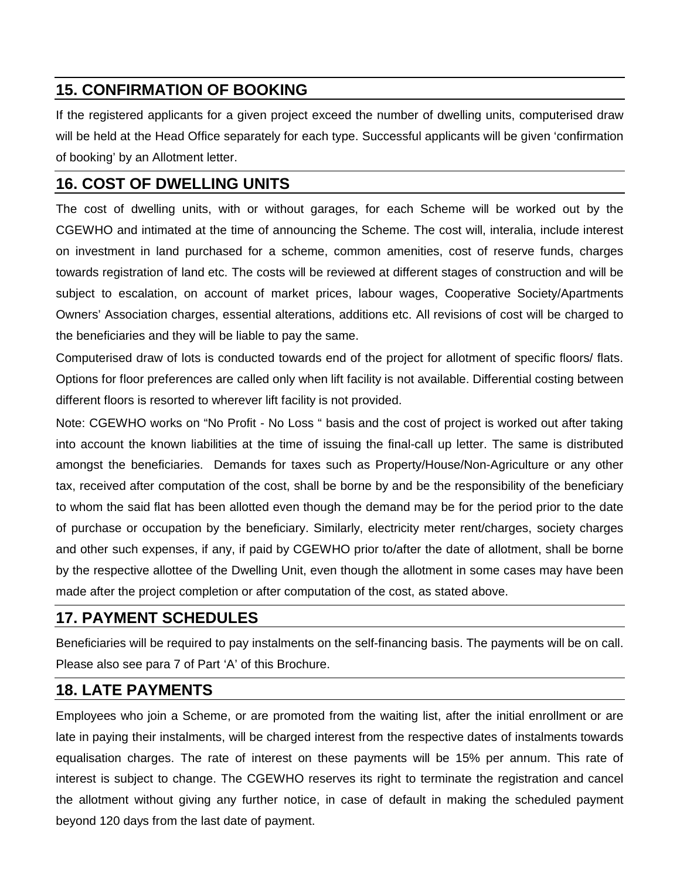# **15. CONFIRMATION OF BOOKING**

If the registered applicants for a given project exceed the number of dwelling units, computerised draw will be held at the Head Office separately for each type. Successful applicants will be given 'confirmation of booking' by an Allotment letter.

# **16. COST OF DWELLING UNITS**

The cost of dwelling units, with or without garages, for each Scheme will be worked out by the CGEWHO and intimated at the time of announcing the Scheme. The cost will, interalia, include interest on investment in land purchased for a scheme, common amenities, cost of reserve funds, charges towards registration of land etc. The costs will be reviewed at different stages of construction and will be subject to escalation, on account of market prices, labour wages, Cooperative Society/Apartments Owners' Association charges, essential alterations, additions etc. All revisions of cost will be charged to the beneficiaries and they will be liable to pay the same.

Computerised draw of lots is conducted towards end of the project for allotment of specific floors/ flats. Options for floor preferences are called only when lift facility is not available. Differential costing between different floors is resorted to wherever lift facility is not provided.

Note: CGEWHO works on "No Profit - No Loss " basis and the cost of project is worked out after taking into account the known liabilities at the time of issuing the final-call up letter. The same is distributed amongst the beneficiaries. Demands for taxes such as Property/House/Non-Agriculture or any other tax, received after computation of the cost, shall be borne by and be the responsibility of the beneficiary to whom the said flat has been allotted even though the demand may be for the period prior to the date of purchase or occupation by the beneficiary. Similarly, electricity meter rent/charges, society charges and other such expenses, if any, if paid by CGEWHO prior to/after the date of allotment, shall be borne by the respective allottee of the Dwelling Unit, even though the allotment in some cases may have been made after the project completion or after computation of the cost, as stated above.

# **17. PAYMENT SCHEDULES**

Beneficiaries will be required to pay instalments on the self-financing basis. The payments will be on call. Please also see para 7 of Part 'A' of this Brochure.

# **18. LATE PAYMENTS**

Employees who join a Scheme, or are promoted from the waiting list, after the initial enrollment or are late in paying their instalments, will be charged interest from the respective dates of instalments towards equalisation charges. The rate of interest on these payments will be 15% per annum. This rate of interest is subject to change. The CGEWHO reserves its right to terminate the registration and cancel the allotment without giving any further notice, in case of default in making the scheduled payment beyond 120 days from the last date of payment.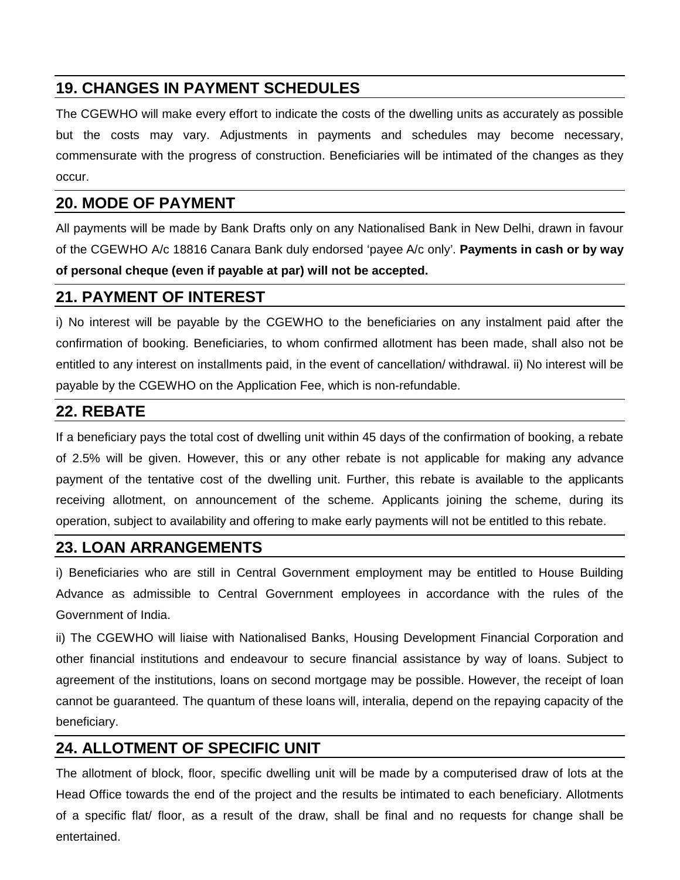# **19. CHANGES IN PAYMENT SCHEDULES**

The CGEWHO will make every effort to indicate the costs of the dwelling units as accurately as possible but the costs may vary. Adjustments in payments and schedules may become necessary, commensurate with the progress of construction. Beneficiaries will be intimated of the changes as they occur.

#### **20. MODE OF PAYMENT**

All payments will be made by Bank Drafts only on any Nationalised Bank in New Delhi, drawn in favour of the CGEWHO A/c 18816 Canara Bank duly endorsed 'payee A/c only'. **Payments in cash or by way of personal cheque (even if payable at par) will not be accepted.** 

#### **21. PAYMENT OF INTEREST**

i) No interest will be payable by the CGEWHO to the beneficiaries on any instalment paid after the confirmation of booking. Beneficiaries, to whom confirmed allotment has been made, shall also not be entitled to any interest on installments paid, in the event of cancellation/ withdrawal. ii) No interest will be payable by the CGEWHO on the Application Fee, which is non-refundable.

#### **22. REBATE**

If a beneficiary pays the total cost of dwelling unit within 45 days of the confirmation of booking, a rebate of 2.5% will be given. However, this or any other rebate is not applicable for making any advance payment of the tentative cost of the dwelling unit. Further, this rebate is available to the applicants receiving allotment, on announcement of the scheme. Applicants joining the scheme, during its operation, subject to availability and offering to make early payments will not be entitled to this rebate.

#### **23. LOAN ARRANGEMENTS**

i) Beneficiaries who are still in Central Government employment may be entitled to House Building Advance as admissible to Central Government employees in accordance with the rules of the Government of India.

ii) The CGEWHO will liaise with Nationalised Banks, Housing Development Financial Corporation and other financial institutions and endeavour to secure financial assistance by way of loans. Subject to agreement of the institutions, loans on second mortgage may be possible. However, the receipt of loan cannot be guaranteed. The quantum of these loans will, interalia, depend on the repaying capacity of the beneficiary.

#### **24. ALLOTMENT OF SPECIFIC UNIT**

The allotment of block, floor, specific dwelling unit will be made by a computerised draw of lots at the Head Office towards the end of the project and the results be intimated to each beneficiary. Allotments of a specific flat/ floor, as a result of the draw, shall be final and no requests for change shall be entertained.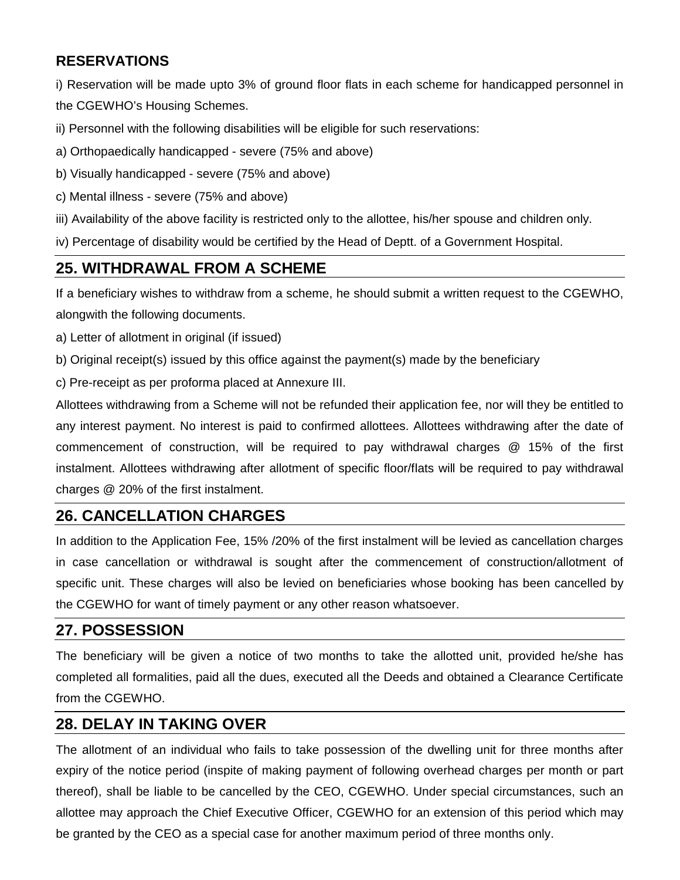#### **RESERVATIONS**

i) Reservation will be made upto 3% of ground floor flats in each scheme for handicapped personnel in the CGEWHO's Housing Schemes.

ii) Personnel with the following disabilities will be eligible for such reservations:

- a) Orthopaedically handicapped severe (75% and above)
- b) Visually handicapped severe (75% and above)
- c) Mental illness severe (75% and above)
- iii) Availability of the above facility is restricted only to the allottee, his/her spouse and children only.

iv) Percentage of disability would be certified by the Head of Deptt. of a Government Hospital.

#### **25. WITHDRAWAL FROM A SCHEME**

If a beneficiary wishes to withdraw from a scheme, he should submit a written request to the CGEWHO, alongwith the following documents.

- a) Letter of allotment in original (if issued)
- b) Original receipt(s) issued by this office against the payment(s) made by the beneficiary
- c) Pre-receipt as per proforma placed at Annexure III.

Allottees withdrawing from a Scheme will not be refunded their application fee, nor will they be entitled to any interest payment. No interest is paid to confirmed allottees. Allottees withdrawing after the date of commencement of construction, will be required to pay withdrawal charges @ 15% of the first instalment. Allottees withdrawing after allotment of specific floor/flats will be required to pay withdrawal charges @ 20% of the first instalment.

# **26. CANCELLATION CHARGES**

In addition to the Application Fee, 15% /20% of the first instalment will be levied as cancellation charges in case cancellation or withdrawal is sought after the commencement of construction/allotment of specific unit. These charges will also be levied on beneficiaries whose booking has been cancelled by the CGEWHO for want of timely payment or any other reason whatsoever.

#### **27. POSSESSION**

The beneficiary will be given a notice of two months to take the allotted unit, provided he/she has completed all formalities, paid all the dues, executed all the Deeds and obtained a Clearance Certificate from the CGEWHO.

#### **28. DELAY IN TAKING OVER**

The allotment of an individual who fails to take possession of the dwelling unit for three months after expiry of the notice period (inspite of making payment of following overhead charges per month or part thereof), shall be liable to be cancelled by the CEO, CGEWHO. Under special circumstances, such an allottee may approach the Chief Executive Officer, CGEWHO for an extension of this period which may be granted by the CEO as a special case for another maximum period of three months only.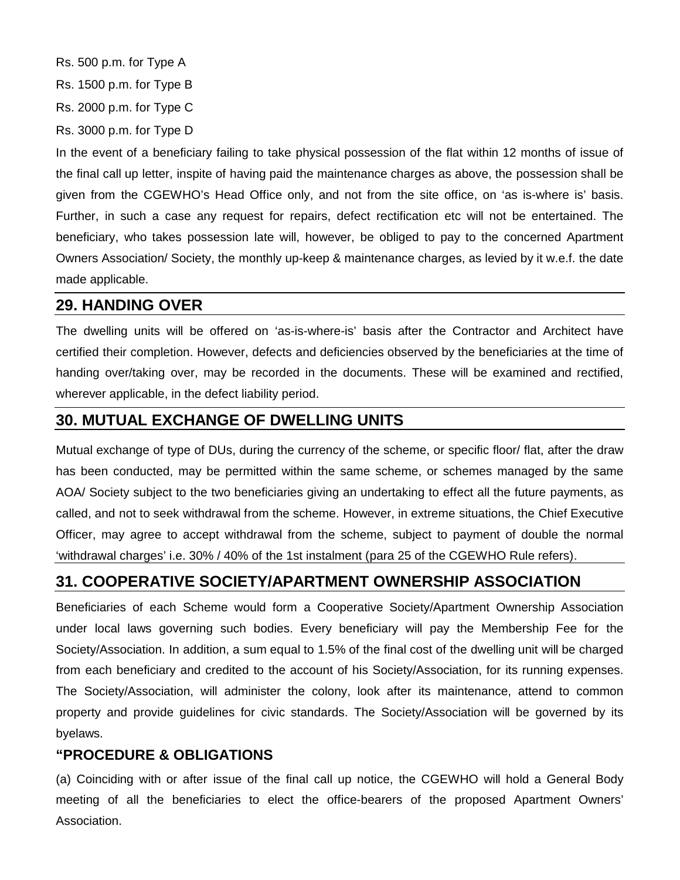Rs. 500 p.m. for Type A Rs. 1500 p.m. for Type B Rs. 2000 p.m. for Type C Rs. 3000 p.m. for Type D

In the event of a beneficiary failing to take physical possession of the flat within 12 months of issue of the final call up letter, inspite of having paid the maintenance charges as above, the possession shall be given from the CGEWHO's Head Office only, and not from the site office, on 'as is-where is' basis. Further, in such a case any request for repairs, defect rectification etc will not be entertained. The beneficiary, who takes possession late will, however, be obliged to pay to the concerned Apartment Owners Association/ Society, the monthly up-keep & maintenance charges, as levied by it w.e.f. the date made applicable.

#### **29. HANDING OVER**

The dwelling units will be offered on 'as-is-where-is' basis after the Contractor and Architect have certified their completion. However, defects and deficiencies observed by the beneficiaries at the time of handing over/taking over, may be recorded in the documents. These will be examined and rectified, wherever applicable, in the defect liability period.

#### **30. MUTUAL EXCHANGE OF DWELLING UNITS**

Mutual exchange of type of DUs, during the currency of the scheme, or specific floor/ flat, after the draw has been conducted, may be permitted within the same scheme, or schemes managed by the same AOA/ Society subject to the two beneficiaries giving an undertaking to effect all the future payments, as called, and not to seek withdrawal from the scheme. However, in extreme situations, the Chief Executive Officer, may agree to accept withdrawal from the scheme, subject to payment of double the normal 'withdrawal charges' i.e. 30% / 40% of the 1st instalment (para 25 of the CGEWHO Rule refers).

#### **31. COOPERATIVE SOCIETY/APARTMENT OWNERSHIP ASSOCIATION**

Beneficiaries of each Scheme would form a Cooperative Society/Apartment Ownership Association under local laws governing such bodies. Every beneficiary will pay the Membership Fee for the Society/Association. In addition, a sum equal to 1.5% of the final cost of the dwelling unit will be charged from each beneficiary and credited to the account of his Society/Association, for its running expenses. The Society/Association, will administer the colony, look after its maintenance, attend to common property and provide guidelines for civic standards. The Society/Association will be governed by its byelaws.

#### **"PROCEDURE & OBLIGATIONS**

(a) Coinciding with or after issue of the final call up notice, the CGEWHO will hold a General Body meeting of all the beneficiaries to elect the office-bearers of the proposed Apartment Owners' Association.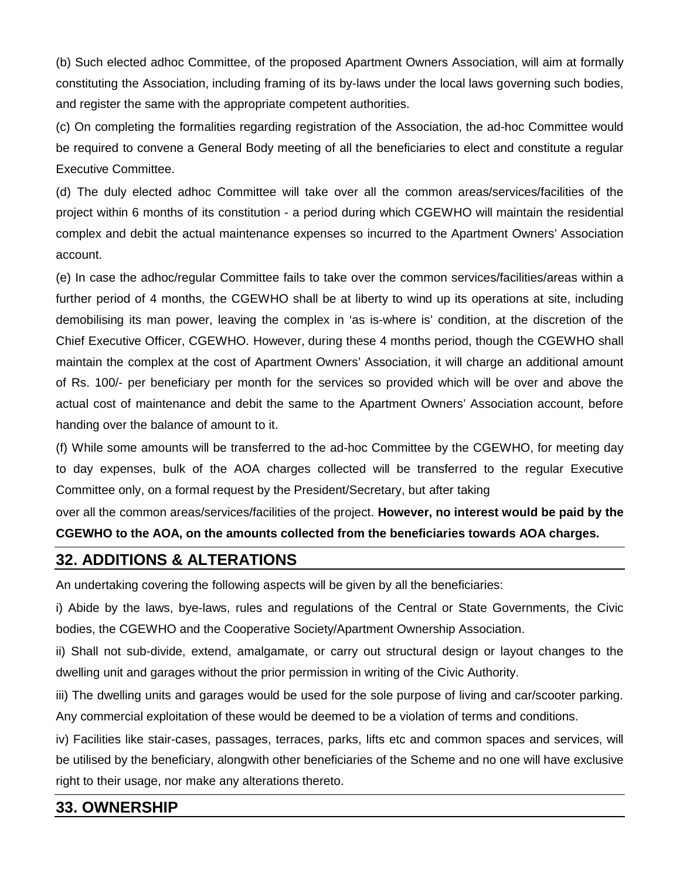(b) Such elected adhoc Committee, of the proposed Apartment Owners Association, will aim at formally constituting the Association, including framing of its by-laws under the local laws governing such bodies, and register the same with the appropriate competent authorities.

(c) On completing the formalities regarding registration of the Association, the ad-hoc Committee would be required to convene a General Body meeting of all the beneficiaries to elect and constitute a regular Executive Committee.

(d) The duly elected adhoc Committee will take over all the common areas/services/facilities of the project within 6 months of its constitution - a period during which CGEWHO will maintain the residential complex and debit the actual maintenance expenses so incurred to the Apartment Owners' Association account.

(e) In case the adhoc/regular Committee fails to take over the common services/facilities/areas within a further period of 4 months, the CGEWHO shall be at liberty to wind up its operations at site, including demobilising its man power, leaving the complex in 'as is-where is' condition, at the discretion of the Chief Executive Officer, CGEWHO. However, during these 4 months period, though the CGEWHO shall maintain the complex at the cost of Apartment Owners' Association, it will charge an additional amount of Rs. 100/- per beneficiary per month for the services so provided which will be over and above the actual cost of maintenance and debit the same to the Apartment Owners' Association account, before handing over the balance of amount to it.

(f) While some amounts will be transferred to the ad-hoc Committee by the CGEWHO, for meeting day to day expenses, bulk of the AOA charges collected will be transferred to the regular Executive Committee only, on a formal request by the President/Secretary, but after taking

over all the common areas/services/facilities of the project. **However, no interest would be paid by the CGEWHO to the AOA, on the amounts collected from the beneficiaries towards AOA charges.** 

#### **32. ADDITIONS & ALTERATIONS**

An undertaking covering the following aspects will be given by all the beneficiaries:

i) Abide by the laws, bye-laws, rules and regulations of the Central or State Governments, the Civic bodies, the CGEWHO and the Cooperative Society/Apartment Ownership Association.

ii) Shall not sub-divide, extend, amalgamate, or carry out structural design or layout changes to the dwelling unit and garages without the prior permission in writing of the Civic Authority.

iii) The dwelling units and garages would be used for the sole purpose of living and car/scooter parking. Any commercial exploitation of these would be deemed to be a violation of terms and conditions.

iv) Facilities like stair-cases, passages, terraces, parks, lifts etc and common spaces and services, will be utilised by the beneficiary, alongwith other beneficiaries of the Scheme and no one will have exclusive right to their usage, nor make any alterations thereto.

#### **33. OWNERSHIP**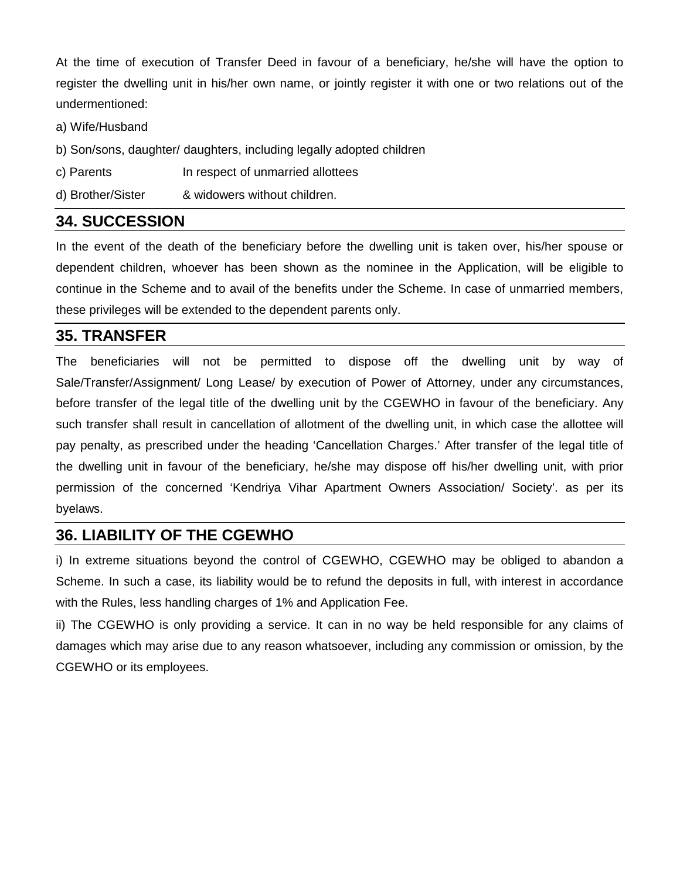At the time of execution of Transfer Deed in favour of a beneficiary, he/she will have the option to register the dwelling unit in his/her own name, or jointly register it with one or two relations out of the undermentioned:

a) Wife/Husband

- b) Son/sons, daughter/ daughters, including legally adopted children
- c) Parents **In respect of unmarried allottees**
- d) Brother/Sister & widowers without children.

#### **34. SUCCESSION**

In the event of the death of the beneficiary before the dwelling unit is taken over, his/her spouse or dependent children, whoever has been shown as the nominee in the Application, will be eligible to continue in the Scheme and to avail of the benefits under the Scheme. In case of unmarried members, these privileges will be extended to the dependent parents only.

#### **35. TRANSFER**

The beneficiaries will not be permitted to dispose off the dwelling unit by way of Sale/Transfer/Assignment/ Long Lease/ by execution of Power of Attorney, under any circumstances, before transfer of the legal title of the dwelling unit by the CGEWHO in favour of the beneficiary. Any such transfer shall result in cancellation of allotment of the dwelling unit, in which case the allottee will pay penalty, as prescribed under the heading 'Cancellation Charges.' After transfer of the legal title of the dwelling unit in favour of the beneficiary, he/she may dispose off his/her dwelling unit, with prior permission of the concerned 'Kendriya Vihar Apartment Owners Association/ Society'. as per its byelaws.

#### **36. LIABILITY OF THE CGEWHO**

i) In extreme situations beyond the control of CGEWHO, CGEWHO may be obliged to abandon a Scheme. In such a case, its liability would be to refund the deposits in full, with interest in accordance with the Rules, less handling charges of 1% and Application Fee.

ii) The CGEWHO is only providing a service. It can in no way be held responsible for any claims of damages which may arise due to any reason whatsoever, including any commission or omission, by the CGEWHO or its employees.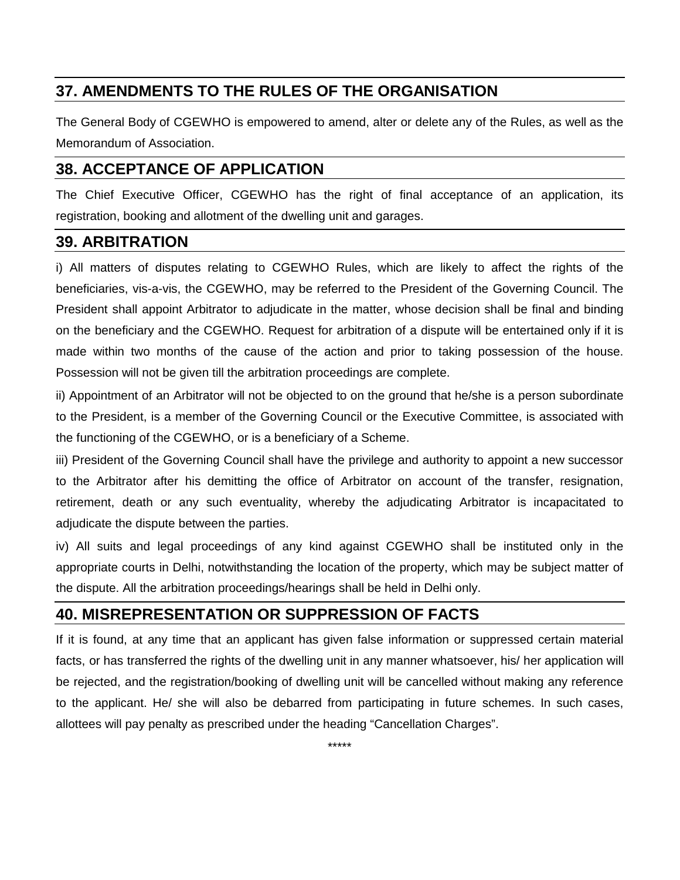# **37. AMENDMENTS TO THE RULES OF THE ORGANISATION**

The General Body of CGEWHO is empowered to amend, alter or delete any of the Rules, as well as the Memorandum of Association.

# **38. ACCEPTANCE OF APPLICATION**

The Chief Executive Officer, CGEWHO has the right of final acceptance of an application, its registration, booking and allotment of the dwelling unit and garages.

#### **39. ARBITRATION**

i) All matters of disputes relating to CGEWHO Rules, which are likely to affect the rights of the beneficiaries, vis-a-vis, the CGEWHO, may be referred to the President of the Governing Council. The President shall appoint Arbitrator to adjudicate in the matter, whose decision shall be final and binding on the beneficiary and the CGEWHO. Request for arbitration of a dispute will be entertained only if it is made within two months of the cause of the action and prior to taking possession of the house. Possession will not be given till the arbitration proceedings are complete.

ii) Appointment of an Arbitrator will not be objected to on the ground that he/she is a person subordinate to the President, is a member of the Governing Council or the Executive Committee, is associated with the functioning of the CGEWHO, or is a beneficiary of a Scheme.

iii) President of the Governing Council shall have the privilege and authority to appoint a new successor to the Arbitrator after his demitting the office of Arbitrator on account of the transfer, resignation, retirement, death or any such eventuality, whereby the adjudicating Arbitrator is incapacitated to adjudicate the dispute between the parties.

iv) All suits and legal proceedings of any kind against CGEWHO shall be instituted only in the appropriate courts in Delhi, notwithstanding the location of the property, which may be subject matter of the dispute. All the arbitration proceedings/hearings shall be held in Delhi only.

#### **40. MISREPRESENTATION OR SUPPRESSION OF FACTS**

If it is found, at any time that an applicant has given false information or suppressed certain material facts, or has transferred the rights of the dwelling unit in any manner whatsoever, his/ her application will be rejected, and the registration/booking of dwelling unit will be cancelled without making any reference to the applicant. He/ she will also be debarred from participating in future schemes. In such cases, allottees will pay penalty as prescribed under the heading "Cancellation Charges".

\*\*\*\*\*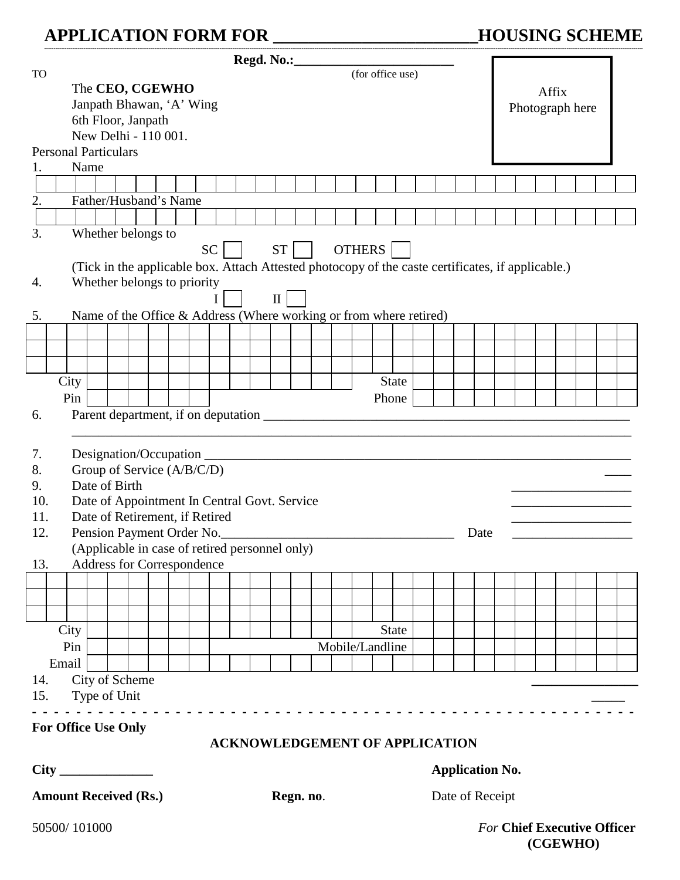# **APPLICATION FORM FOR \_\_\_\_\_\_\_\_\_\_\_\_\_\_\_\_\_\_\_\_\_\_\_HOUSING SCHEME**

|                              | Regd. No.: (for office use)                                                                       |  |  |  |  |  |  |                                 |  |  |                        |  |                                       |                 |       |              |  |  |      |  |  |  |          |  |  |                                    |  |
|------------------------------|---------------------------------------------------------------------------------------------------|--|--|--|--|--|--|---------------------------------|--|--|------------------------|--|---------------------------------------|-----------------|-------|--------------|--|--|------|--|--|--|----------|--|--|------------------------------------|--|
| <b>TO</b>                    |                                                                                                   |  |  |  |  |  |  |                                 |  |  |                        |  |                                       |                 |       |              |  |  |      |  |  |  |          |  |  |                                    |  |
|                              | The CEO, CGEWHO<br>Janpath Bhawan, 'A' Wing                                                       |  |  |  |  |  |  |                                 |  |  |                        |  | Affix                                 |                 |       |              |  |  |      |  |  |  |          |  |  |                                    |  |
|                              | 6th Floor, Janpath                                                                                |  |  |  |  |  |  |                                 |  |  |                        |  |                                       | Photograph here |       |              |  |  |      |  |  |  |          |  |  |                                    |  |
|                              | New Delhi - 110 001.                                                                              |  |  |  |  |  |  |                                 |  |  |                        |  |                                       |                 |       |              |  |  |      |  |  |  |          |  |  |                                    |  |
|                              | <b>Personal Particulars</b>                                                                       |  |  |  |  |  |  |                                 |  |  |                        |  |                                       |                 |       |              |  |  |      |  |  |  |          |  |  |                                    |  |
| 1.                           | Name                                                                                              |  |  |  |  |  |  |                                 |  |  |                        |  |                                       |                 |       |              |  |  |      |  |  |  |          |  |  |                                    |  |
|                              |                                                                                                   |  |  |  |  |  |  |                                 |  |  |                        |  |                                       |                 |       |              |  |  |      |  |  |  |          |  |  |                                    |  |
| 2.                           | Father/Husband's Name                                                                             |  |  |  |  |  |  |                                 |  |  |                        |  |                                       |                 |       |              |  |  |      |  |  |  |          |  |  |                                    |  |
|                              |                                                                                                   |  |  |  |  |  |  |                                 |  |  |                        |  |                                       |                 |       |              |  |  |      |  |  |  |          |  |  |                                    |  |
| 3.                           | Whether belongs to                                                                                |  |  |  |  |  |  |                                 |  |  |                        |  |                                       |                 |       |              |  |  |      |  |  |  |          |  |  |                                    |  |
|                              | <b>OTHERS</b><br>SC<br><b>ST</b>                                                                  |  |  |  |  |  |  |                                 |  |  |                        |  |                                       |                 |       |              |  |  |      |  |  |  |          |  |  |                                    |  |
|                              | (Tick in the applicable box. Attach Attested photocopy of the caste certificates, if applicable.) |  |  |  |  |  |  |                                 |  |  |                        |  |                                       |                 |       |              |  |  |      |  |  |  |          |  |  |                                    |  |
| 4.                           | Whether belongs to priority                                                                       |  |  |  |  |  |  |                                 |  |  |                        |  |                                       |                 |       |              |  |  |      |  |  |  |          |  |  |                                    |  |
|                              | $\mathbf{I}$<br>Name of the Office & Address (Where working or from where retired)                |  |  |  |  |  |  |                                 |  |  |                        |  |                                       |                 |       |              |  |  |      |  |  |  |          |  |  |                                    |  |
| 5.                           |                                                                                                   |  |  |  |  |  |  |                                 |  |  |                        |  |                                       |                 |       |              |  |  |      |  |  |  |          |  |  |                                    |  |
|                              |                                                                                                   |  |  |  |  |  |  |                                 |  |  |                        |  |                                       |                 |       |              |  |  |      |  |  |  |          |  |  |                                    |  |
|                              |                                                                                                   |  |  |  |  |  |  |                                 |  |  |                        |  |                                       |                 |       |              |  |  |      |  |  |  |          |  |  |                                    |  |
|                              | City                                                                                              |  |  |  |  |  |  |                                 |  |  |                        |  |                                       |                 |       | <b>State</b> |  |  |      |  |  |  |          |  |  |                                    |  |
|                              | Pin                                                                                               |  |  |  |  |  |  |                                 |  |  |                        |  |                                       |                 | Phone |              |  |  |      |  |  |  |          |  |  |                                    |  |
| 6.                           |                                                                                                   |  |  |  |  |  |  |                                 |  |  |                        |  |                                       |                 |       |              |  |  |      |  |  |  |          |  |  |                                    |  |
|                              |                                                                                                   |  |  |  |  |  |  |                                 |  |  |                        |  |                                       |                 |       |              |  |  |      |  |  |  |          |  |  |                                    |  |
|                              |                                                                                                   |  |  |  |  |  |  |                                 |  |  |                        |  |                                       |                 |       |              |  |  |      |  |  |  |          |  |  |                                    |  |
| 7.<br>8.                     | Group of Service (A/B/C/D)                                                                        |  |  |  |  |  |  |                                 |  |  |                        |  |                                       |                 |       |              |  |  |      |  |  |  |          |  |  |                                    |  |
| 9.                           | Date of Birth                                                                                     |  |  |  |  |  |  |                                 |  |  |                        |  |                                       |                 |       |              |  |  |      |  |  |  |          |  |  |                                    |  |
| 10.                          | Date of Appointment In Central Govt. Service                                                      |  |  |  |  |  |  |                                 |  |  |                        |  |                                       |                 |       |              |  |  |      |  |  |  |          |  |  |                                    |  |
| 11.                          | Date of Retirement, if Retired                                                                    |  |  |  |  |  |  |                                 |  |  |                        |  |                                       |                 |       |              |  |  |      |  |  |  |          |  |  |                                    |  |
| 12.                          | Pension Payment Order No.                                                                         |  |  |  |  |  |  |                                 |  |  |                        |  |                                       |                 |       |              |  |  | Date |  |  |  |          |  |  |                                    |  |
|                              | (Applicable in case of retired personnel only)                                                    |  |  |  |  |  |  |                                 |  |  |                        |  |                                       |                 |       |              |  |  |      |  |  |  |          |  |  |                                    |  |
| 13.                          | Address for Correspondence                                                                        |  |  |  |  |  |  |                                 |  |  |                        |  |                                       |                 |       |              |  |  |      |  |  |  |          |  |  |                                    |  |
|                              |                                                                                                   |  |  |  |  |  |  |                                 |  |  |                        |  |                                       |                 |       |              |  |  |      |  |  |  |          |  |  |                                    |  |
|                              |                                                                                                   |  |  |  |  |  |  |                                 |  |  |                        |  |                                       |                 |       |              |  |  |      |  |  |  |          |  |  |                                    |  |
|                              |                                                                                                   |  |  |  |  |  |  |                                 |  |  |                        |  |                                       |                 |       |              |  |  |      |  |  |  |          |  |  |                                    |  |
|                              | City                                                                                              |  |  |  |  |  |  | <b>State</b><br>Mobile/Landline |  |  |                        |  |                                       |                 |       |              |  |  |      |  |  |  |          |  |  |                                    |  |
|                              | Pin                                                                                               |  |  |  |  |  |  |                                 |  |  |                        |  |                                       |                 |       |              |  |  |      |  |  |  |          |  |  |                                    |  |
| 14.                          | Email                                                                                             |  |  |  |  |  |  |                                 |  |  |                        |  |                                       |                 |       |              |  |  |      |  |  |  |          |  |  |                                    |  |
| 15.                          | City of Scheme<br>Type of Unit                                                                    |  |  |  |  |  |  |                                 |  |  |                        |  |                                       |                 |       |              |  |  |      |  |  |  |          |  |  |                                    |  |
|                              |                                                                                                   |  |  |  |  |  |  |                                 |  |  |                        |  |                                       |                 |       |              |  |  |      |  |  |  |          |  |  |                                    |  |
|                              | For Office Use Only                                                                               |  |  |  |  |  |  |                                 |  |  |                        |  |                                       |                 |       |              |  |  |      |  |  |  |          |  |  |                                    |  |
|                              |                                                                                                   |  |  |  |  |  |  |                                 |  |  |                        |  | <b>ACKNOWLEDGEMENT OF APPLICATION</b> |                 |       |              |  |  |      |  |  |  |          |  |  |                                    |  |
|                              |                                                                                                   |  |  |  |  |  |  |                                 |  |  | <b>Application No.</b> |  |                                       |                 |       |              |  |  |      |  |  |  |          |  |  |                                    |  |
| <b>Amount Received (Rs.)</b> |                                                                                                   |  |  |  |  |  |  | Date of Receipt<br>Regn. no.    |  |  |                        |  |                                       |                 |       |              |  |  |      |  |  |  |          |  |  |                                    |  |
|                              | 50500/101000                                                                                      |  |  |  |  |  |  |                                 |  |  |                        |  |                                       |                 |       |              |  |  |      |  |  |  |          |  |  | <b>For Chief Executive Officer</b> |  |
|                              |                                                                                                   |  |  |  |  |  |  |                                 |  |  |                        |  |                                       |                 |       |              |  |  |      |  |  |  | (CGEWHO) |  |  |                                    |  |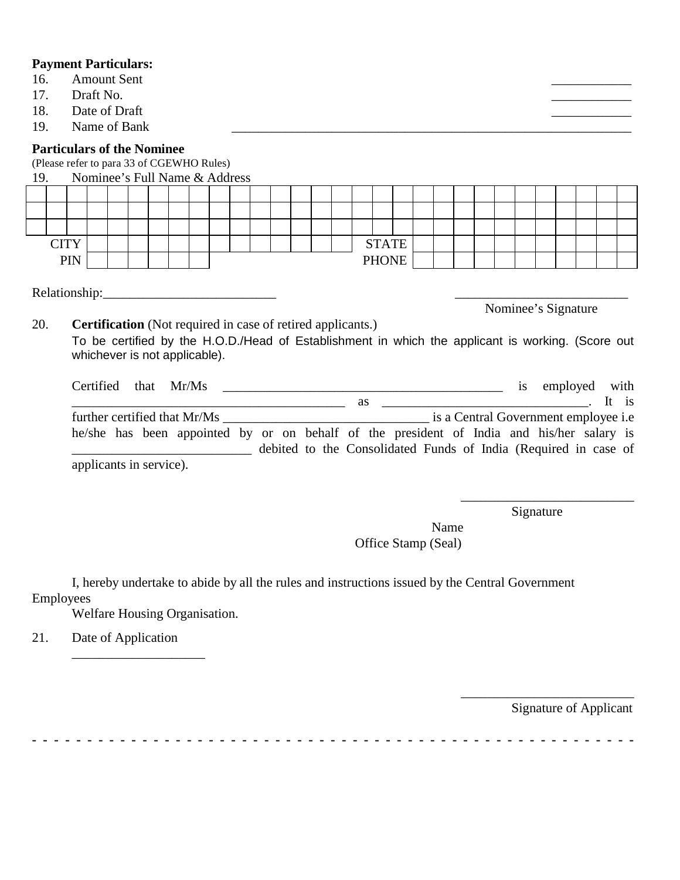|                                                                                                                | <b>Payment Particulars:</b>                                                                                            |               |  |  |  |  |  |  |  |              |  |  |  |  |  |  |              |  |  |  |  |  |  |  |  |  |
|----------------------------------------------------------------------------------------------------------------|------------------------------------------------------------------------------------------------------------------------|---------------|--|--|--|--|--|--|--|--------------|--|--|--|--|--|--|--------------|--|--|--|--|--|--|--|--|--|
| 16.                                                                                                            | <b>Amount Sent</b>                                                                                                     |               |  |  |  |  |  |  |  |              |  |  |  |  |  |  |              |  |  |  |  |  |  |  |  |  |
| 17.                                                                                                            |                                                                                                                        | Draft No.     |  |  |  |  |  |  |  |              |  |  |  |  |  |  |              |  |  |  |  |  |  |  |  |  |
| 18.                                                                                                            |                                                                                                                        | Date of Draft |  |  |  |  |  |  |  |              |  |  |  |  |  |  |              |  |  |  |  |  |  |  |  |  |
| 19.                                                                                                            |                                                                                                                        | Name of Bank  |  |  |  |  |  |  |  |              |  |  |  |  |  |  |              |  |  |  |  |  |  |  |  |  |
|                                                                                                                | <b>Particulars of the Nominee</b><br>(Please refer to para 33 of CGEWHO Rules)<br>Nominee's Full Name & Address<br>19. |               |  |  |  |  |  |  |  |              |  |  |  |  |  |  |              |  |  |  |  |  |  |  |  |  |
|                                                                                                                |                                                                                                                        |               |  |  |  |  |  |  |  |              |  |  |  |  |  |  |              |  |  |  |  |  |  |  |  |  |
|                                                                                                                |                                                                                                                        |               |  |  |  |  |  |  |  |              |  |  |  |  |  |  |              |  |  |  |  |  |  |  |  |  |
|                                                                                                                |                                                                                                                        |               |  |  |  |  |  |  |  |              |  |  |  |  |  |  |              |  |  |  |  |  |  |  |  |  |
|                                                                                                                | <b>CITY</b>                                                                                                            |               |  |  |  |  |  |  |  |              |  |  |  |  |  |  | <b>STATE</b> |  |  |  |  |  |  |  |  |  |
| <b>PIN</b>                                                                                                     |                                                                                                                        |               |  |  |  |  |  |  |  | <b>PHONE</b> |  |  |  |  |  |  |              |  |  |  |  |  |  |  |  |  |
|                                                                                                                |                                                                                                                        |               |  |  |  |  |  |  |  |              |  |  |  |  |  |  |              |  |  |  |  |  |  |  |  |  |
| Relationship: 2000 Person and 2000 Personal Personal Personal Personal Personal Personal Personal Personal Per |                                                                                                                        |               |  |  |  |  |  |  |  |              |  |  |  |  |  |  |              |  |  |  |  |  |  |  |  |  |
|                                                                                                                |                                                                                                                        |               |  |  |  |  |  |  |  |              |  |  |  |  |  |  |              |  |  |  |  |  |  |  |  |  |
|                                                                                                                | Nominee's Signature                                                                                                    |               |  |  |  |  |  |  |  |              |  |  |  |  |  |  |              |  |  |  |  |  |  |  |  |  |
|                                                                                                                | 20.<br><b>Certification</b> (Not required in case of retired applicants.)                                              |               |  |  |  |  |  |  |  |              |  |  |  |  |  |  |              |  |  |  |  |  |  |  |  |  |
|                                                                                                                | To be certified by the H.O.D./Head of Establishment in which the applicant is working. (Score out                      |               |  |  |  |  |  |  |  |              |  |  |  |  |  |  |              |  |  |  |  |  |  |  |  |  |
|                                                                                                                | whichever is not applicable).                                                                                          |               |  |  |  |  |  |  |  |              |  |  |  |  |  |  |              |  |  |  |  |  |  |  |  |  |
|                                                                                                                | is employed with<br>Certified that Mr/Ms                                                                               |               |  |  |  |  |  |  |  |              |  |  |  |  |  |  |              |  |  |  |  |  |  |  |  |  |
|                                                                                                                |                                                                                                                        |               |  |  |  |  |  |  |  |              |  |  |  |  |  |  |              |  |  |  |  |  |  |  |  |  |
|                                                                                                                |                                                                                                                        |               |  |  |  |  |  |  |  |              |  |  |  |  |  |  |              |  |  |  |  |  |  |  |  |  |
|                                                                                                                |                                                                                                                        |               |  |  |  |  |  |  |  |              |  |  |  |  |  |  |              |  |  |  |  |  |  |  |  |  |
|                                                                                                                | he/she has been appointed by or on behalf of the president of India and his/her salary is                              |               |  |  |  |  |  |  |  |              |  |  |  |  |  |  |              |  |  |  |  |  |  |  |  |  |
|                                                                                                                | debited to the Consolidated Funds of India (Required in case of                                                        |               |  |  |  |  |  |  |  |              |  |  |  |  |  |  |              |  |  |  |  |  |  |  |  |  |
|                                                                                                                | applicants in service).                                                                                                |               |  |  |  |  |  |  |  |              |  |  |  |  |  |  |              |  |  |  |  |  |  |  |  |  |

Signature

\_\_\_\_\_\_\_\_\_\_\_\_\_\_\_\_\_\_\_\_\_\_\_\_\_\_

Name Office Stamp (Seal)

I, hereby undertake to abide by all the rules and instructions issued by the Central Government Employees

Welfare Housing Organisation.

\_\_\_\_\_\_\_\_\_\_\_\_\_\_\_\_\_\_\_\_

21. Date of Application

Signature of Applicant

 $\overline{\phantom{a}}$  , which is a set of the set of the set of the set of the set of the set of the set of the set of the set of the set of the set of the set of the set of the set of the set of the set of the set of the set of th

**- - - - - - - - - - - - - - - - - - - - - - - - - - - - - - - - - - - - - - - - - - - - - - - - - - - - - - -**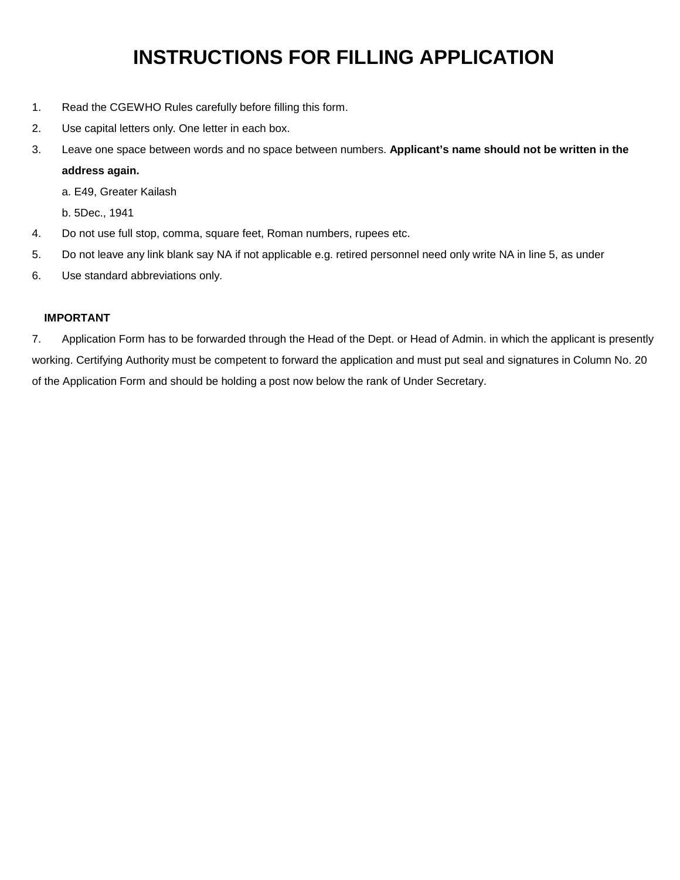# **INSTRUCTIONS FOR FILLING APPLICATION**

- 1. Read the CGEWHO Rules carefully before filling this form.
- 2. Use capital letters only. One letter in each box.
- 3. Leave one space between words and no space between numbers. **Applicant's name should not be written in the address again.**
	- a. E49, Greater Kailash
	- b. 5Dec., 1941
- 4. Do not use full stop, comma, square feet, Roman numbers, rupees etc.
- 5. Do not leave any link blank say NA if not applicable e.g. retired personnel need only write NA in line 5, as under
- 6. Use standard abbreviations only.

#### **IMPORTANT**

7. Application Form has to be forwarded through the Head of the Dept. or Head of Admin. in which the applicant is presently working. Certifying Authority must be competent to forward the application and must put seal and signatures in Column No. 20 of the Application Form and should be holding a post now below the rank of Under Secretary.